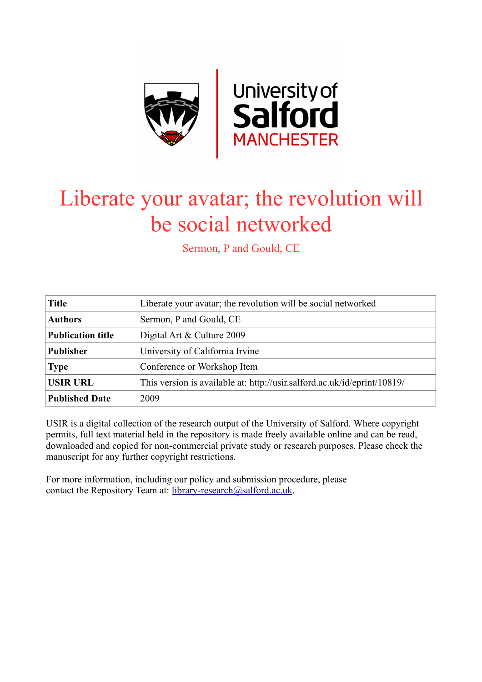

# Liberate your avatar; the revolution will be social networked

Sermon, P and Gould, CE

| <b>Title</b>             | Liberate your avatar; the revolution will be social networked            |
|--------------------------|--------------------------------------------------------------------------|
| <b>Authors</b>           | Sermon, P and Gould, CE                                                  |
| <b>Publication title</b> | Digital Art & Culture 2009                                               |
| <b>Publisher</b>         | University of California Irvine                                          |
| <b>Type</b>              | Conference or Workshop Item                                              |
| <b>USIR URL</b>          | This version is available at: http://usir.salford.ac.uk/id/eprint/10819/ |
| <b>Published Date</b>    | 2009                                                                     |

USIR is a digital collection of the research output of the University of Salford. Where copyright permits, full text material held in the repository is made freely available online and can be read, downloaded and copied for non-commercial private study or research purposes. Please check the manuscript for any further copyright restrictions.

For more information, including our policy and submission procedure, please contact the Repository Team at: [library-research@salford.ac.uk.](mailto:library-research@salford.ac.uk)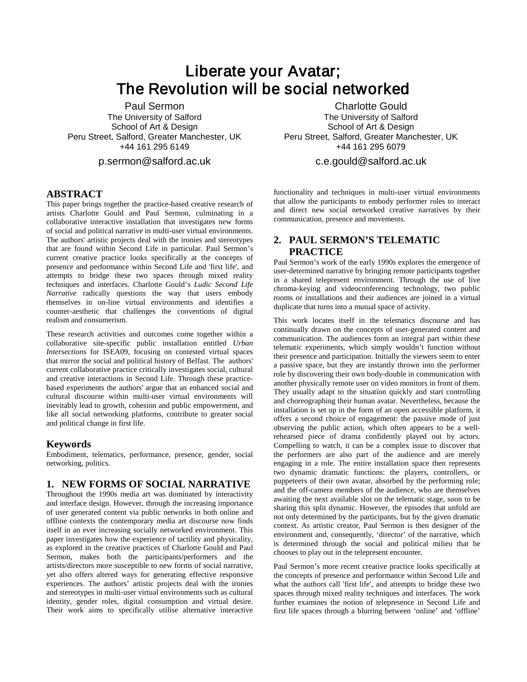# Liberate your Avatar; The Revolution will be social networked

Paul Sermon The University of Salford School of Art & Design Peru Street, Salford, Greater Manchester, UK +44 161 295 6149

p.sermon@salford.ac.uk

### **ABSTRACT**

This paper brings together the practice-based creative research of artists Charlotte Gould and Paul Sermon, culminating in a collaborative interactive installation that investigates new forms of social and political narrative in multi-user virtual environments. The authors' artistic projects deal with the ironies and stereotypes that are found within Second Life in particular. Paul Sermon's current creative practice looks specifically at the concepts of presence and performance within Second Life and 'first life', and attempts to bridge these two spaces through mixed reality techniques and interfaces. Charlotte Gould's *Ludic Second Life Narrative* radically questions the way that users embody themselves in on-line virtual environments and identifies a counter-aesthetic that challenges the conventions of digital realism and consumerism.

These research activities and outcomes come together within a collaborative site-specific public installation entitled *Urban Intersections* for ISEA09, focusing on contested virtual spaces that mirror the social and political history of Belfast. The authors' current collaborative practice critically investigates social, cultural and creative interactions in Second Life. Through these practicebased experiments the authors' argue that an enhanced social and cultural discourse within multi-user virtual environments will inevitably lead to growth, cohesion and public empowerment, and like all social networking platforms, contribute to greater social and political change in first life.

#### **Keywords**

Embodiment, telematics, performance, presence, gender, social networking, politics.

#### **1. NEW FORMS OF SOCIAL NARRATIVE**

Throughout the 1990s media art was dominated by interactivity and interface design. However, through the increasing importance of user generated content via public networks in both online and offline contexts the contemporary media art discourse now finds itself in an ever increasing socially networked environment. This paper investigates how the experience of tactility and physicality, as explored in the creative practices of Charlotte Gould and Paul Sermon, makes both the participants/performers and the artists/directors more susceptible to new forms of social narrative, yet also offers altered ways for generating effective responsive experiences. The authors' artistic projects deal with the ironies and stereotypes in multi-user virtual environments such as cultural identity, gender roles, digital consumption and virtual desire. Their work aims to specifically utilise alternative interactive

Charlotte Gould The University of Salford School of Art & Design Peru Street, Salford, Greater Manchester, UK +44 161 295 6079

c.e.gould@salford.ac.uk

functionality and techniques in multi-user virtual environments that allow the participants to embody performer roles to interact and direct new social networked creative narratives by their communication, presence and movements.

## **2. PAUL SERMON'S TELEMATIC PRACTICE**

Paul Sermon's work of the early 1990s explores the emergence of user-determined narrative by bringing remote participants together in a shared telepresent environment. Through the use of live chroma-keying and videoconferencing technology, two public rooms or installations and their audiences are joined in a virtual duplicate that turns into a mutual space of activity.

This work locates itself in the telematics discourse and has continually drawn on the concepts of user-generated content and communication. The audiences form an integral part within these telematic experiments, which simply wouldn't function without their presence and participation. Initially the viewers seem to enter a passive space, but they are instantly thrown into the performer role by discovering their own body-double in communication with another physically remote user on video monitors in front of them. They usually adapt to the situation quickly and start controlling and choreographing their human avatar. Nevertheless, because the installation is set up in the form of an open accessible platform, it offers a second choice of engagement: the passive mode of just observing the public action, which often appears to be a wellrehearsed piece of drama confidently played out by actors. Compelling to watch, it can be a complex issue to discover that the performers are also part of the audience and are merely engaging in a role. The entire installation space then represents two dynamic dramatic functions: the players, controllers, or puppeteers of their own avatar, absorbed by the performing role; and the off-camera members of the audience, who are themselves awaiting the next available slot on the telematic stage, soon to be sharing this split dynamic. However, the episodes that unfold are not only determined by the participants, but by the given dramatic context. As artistic creator, Paul Sermon is then designer of the environment and, consequently, 'director' of the narrative, which is determined through the social and political milieu that he chooses to play out in the telepresent encounter.

Paul Sermon's more recent creative practice looks specifically at the concepts of presence and performance within Second Life and what the authors call 'first life', and attempts to bridge these two spaces through mixed reality techniques and interfaces. The work further examines the notion of telepresence in Second Life and first life spaces through a blurring between 'online' and 'offline'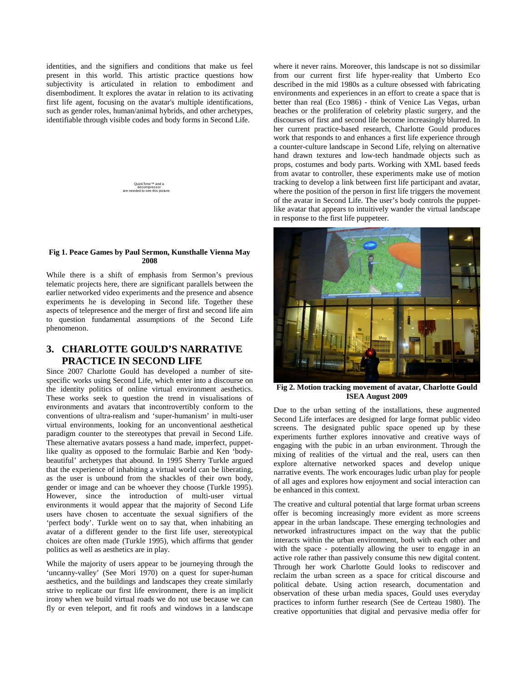identities, and the signifiers and conditions that make us feel present in this world. This artistic practice questions how subjectivity is articulated in relation to embodiment and disembodiment. It explores the avatar in relation to its activating first life agent, focusing on the avatar's multiple identifications, such as gender roles, human/animal hybrids, and other archetypes, identifiable through visible codes and body forms in Second Life.



#### **Fig 1. Peace Games by Paul Sermon, Kunsthalle Vienna May 2008**

While there is a shift of emphasis from Sermon's previous telematic projects here, there are significant parallels between the earlier networked video experiments and the presence and absence experiments he is developing in Second life. Together these aspects of telepresence and the merger of first and second life aim to question fundamental assumptions of the Second Life phenomenon.

# **3. CHARLOTTE GOULD'S NARRATIVE PRACTICE IN SECOND LIFE**

Since 2007 Charlotte Gould has developed a number of sitespecific works using Second Life, which enter into a discourse on the identity politics of online virtual environment aesthetics. These works seek to question the trend in visualisations of environments and avatars that incontrovertibly conform to the conventions of ultra-realism and 'super-humanism' in multi-user virtual environments, looking for an unconventional aesthetical paradigm counter to the stereotypes that prevail in Second Life. These alternative avatars possess a hand made, imperfect, puppetlike quality as opposed to the formulaic Barbie and Ken 'bodybeautiful' archetypes that abound. In 1995 Sherry Turkle argued that the experience of inhabiting a virtual world can be liberating, as the user is unbound from the shackles of their own body, gender or image and can be whoever they choose (Turkle 1995). However, since the introduction of multi-user virtual environments it would appear that the majority of Second Life users have chosen to accentuate the sexual signifiers of the 'perfect body'. Turkle went on to say that, when inhabiting an avatar of a different gender to the first life user, stereotypical choices are often made (Turkle 1995), which affirms that gender politics as well as aesthetics are in play.

While the majority of users appear to be journeying through the 'uncanny-valley' (See Mori 1970) on a quest for super-human aesthetics, and the buildings and landscapes they create similarly strive to replicate our first life environment, there is an implicit irony when we build virtual roads we do not use because we can fly or even teleport, and fit roofs and windows in a landscape

where it never rains. Moreover, this landscape is not so dissimilar from our current first life hyper-reality that Umberto Eco described in the mid 1980s as a culture obsessed with fabricating environments and experiences in an effort to create a space that is better than real (Eco 1986) - think of Venice Las Vegas, urban beaches or the proliferation of celebrity plastic surgery, and the discourses of first and second life become increasingly blurred. In her current practice-based research, Charlotte Gould produces work that responds to and enhances a first life experience through a counter-culture landscape in Second Life, relying on alternative hand drawn textures and low-tech handmade objects such as props, costumes and body parts. Working with XML based feeds from avatar to controller, these experiments make use of motion tracking to develop a link between first life participant and avatar, where the position of the person in first life triggers the movement of the avatar in Second Life. The user's body controls the puppetlike avatar that appears to intuitively wander the virtual landscape in response to the first life puppeteer.



**Fig 2. Motion tracking movement of avatar, Charlotte Gould ISEA August 2009**

Due to the urban setting of the installations, these augmented Second Life interfaces are designed for large format public video screens. The designated public space opened up by these experiments further explores innovative and creative ways of engaging with the pubic in an urban environment. Through the mixing of realities of the virtual and the real, users can then explore alternative networked spaces and develop unique narrative events. The work encourages ludic urban play for people of all ages and explores how enjoyment and social interaction can be enhanced in this context.

The creative and cultural potential that large format urban screens offer is becoming increasingly more evident as more screens appear in the urban landscape. These emerging technologies and networked infrastructures impact on the way that the public interacts within the urban environment, both with each other and with the space - potentially allowing the user to engage in an active role rather than passively consume this new digital content. Through her work Charlotte Gould looks to rediscover and reclaim the urban screen as a space for critical discourse and political debate. Using action research, documentation and observation of these urban media spaces, Gould uses everyday practices to inform further research (See de Certeau 1980). The creative opportunities that digital and pervasive media offer for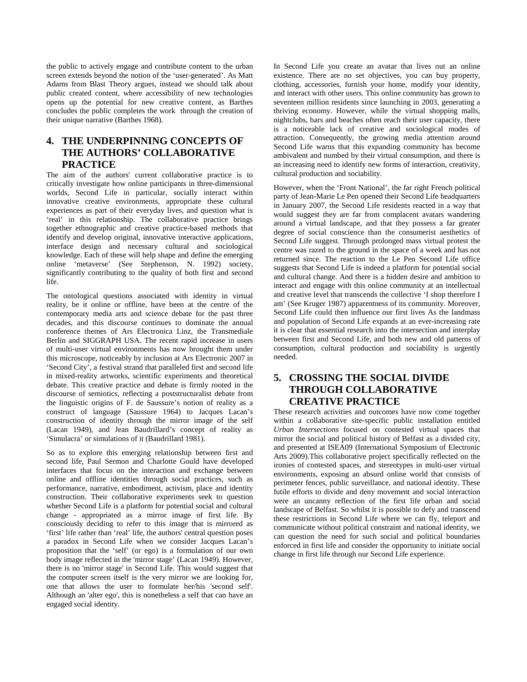the public to actively engage and contribute content to the urban screen extends beyond the notion of the 'user-generated'. As Matt Adams from Blast Theory argues, instead we should talk about public created content, where accessibility of new technologies opens up the potential for new creative content, as Barthes concludes the public completes the work through the creation of their unique narrative (Barthes 1968).

# **4. THE UNDERPINNING CONCEPTS OF THE AUTHORS' COLLABORATIVE PRACTICE**

The aim of the authors' current collaborative practice is to critically investigate how online participants in three-dimensional worlds, Second Life in particular, socially interact within innovative creative environments, appropriate these cultural experiences as part of their everyday lives, and question what is 'real' in this relationship. The collaborative practice brings together ethnographic and creative practice-based methods that identify and develop original, innovative interactive applications, interface design and necessary cultural and sociological knowledge. Each of these will help shape and define the emerging online 'metaverse' (See Stephenson, N. 1992) society, significantly contributing to the quality of both first and second life.

The ontological questions associated with identity in virtual reality, be it online or offline, have been at the centre of the contemporary media arts and science debate for the past three decades, and this discourse continues to dominate the annual conference themes of Ars Electronica Linz, the Transmediale Berlin and SIGGRAPH USA. The recent rapid increase in users of multi-user virtual environments has now brought them under this microscope, noticeably by inclusion at Ars Electronic 2007 in 'Second City', a festival strand that paralleled first and second life in mixed-reality artworks, scientific experiments and theoretical debate. This creative practice and debate is firmly rooted in the discourse of semiotics, reflecting a poststructuralist debate from the linguistic origins of F. de Saussure's notion of reality as a construct of language (Saussure 1964) to Jacques Lacan's construction of identity through the mirror image of the self (Lacan 1949), and Jean Baudrillard's concept of reality as 'Simulacra' or simulations of it (Baudrillard 1981).

So as to explore this emerging relationship between first and second life, Paul Sermon and Charlotte Gould have developed interfaces that focus on the interaction and exchange between online and offline identities through social practices, such as performance, narrative, embodiment, activism, place and identity construction. Their collaborative experiments seek to question whether Second Life is a platform for potential social and cultural change - appropriated as a mirror image of first life. By consciously deciding to refer to this image that is mirrored as 'first' life rather than 'real' life, the authors' central question poses a paradox in Second Life when we consider Jacques Lacan's proposition that the 'self' (or ego) is a formulation of our own body image reflected in the 'mirror stage' (Lacan 1949). However, there is no 'mirror stage' in Second Life. This would suggest that the computer screen itself is the very mirror we are looking for, one that allows the user to formulate her/his 'second self'. Although an 'alter ego', this is nonetheless a self that can have an engaged social identity.

In Second Life you create an avatar that lives out an online existence. There are no set objectives, you can buy property, clothing, accessories, furnish your home, modify your identity, and interact with other users. This online community has grown to seventeen million residents since launching in 2003, generating a thriving economy. However, while the virtual shopping malls, nightclubs, bars and beaches often reach their user capacity, there is a noticeable lack of creative and sociological modes of attraction. Consequently, the growing media attention around Second Life warns that this expanding community has become ambivalent and numbed by their virtual consumption, and there is an increasing need to identify new forms of interaction, creativity, cultural production and sociability.

However, when the 'Front National', the far right French political party of Jean-Marie Le Pen opened their Second Life headquarters in January 2007, the Second Life residents reacted in a way that would suggest they are far from complacent avatars wandering around a virtual landscape, and that they possess a far greater degree of social conscience than the consumerist aesthetics of Second Life suggest. Through prolonged mass virtual protest the centre was razed to the ground in the space of a week and has not returned since. The reaction to the Le Pen Second Life office suggests that Second Life is indeed a platform for potential social and cultural change. And there is a hidden desire and ambition to interact and engage with this online community at an intellectual and creative level that transcends the collective 'I shop therefore I am' (See Kruger 1987) apparentness of its community. Moreover, Second Life could then influence our first lives As the landmass and population of Second Life expands at an ever-increasing rate it is clear that essential research into the intersection and interplay between first and Second Life, and both new and old patterns of consumption, cultural production and sociability is urgently needed.

# **5. CROSSING THE SOCIAL DIVIDE THROUGH COLLABORATIVE CREATIVE PRACTICE**

These research activities and outcomes have now come together within a collaborative site-specific public installation entitled *Urban Intersections* focused on contested virtual spaces that mirror the social and political history of Belfast as a divided city, and presented at ISEA09 (International Symposium of Electronic Arts 2009).This collaborative project specifically reflected on the ironies of contested spaces, and stereotypes in multi-user virtual environments, exposing an absurd online world that consists of perimeter fences, public surveillance, and national identity. These futile efforts to divide and deny movement and social interaction were an uncanny reflection of the first life urban and social landscape of Belfast. So whilst it is possible to defy and transcend these restrictions in Second Life where we can fly, teleport and communicate without political constraint and national identity, we can question the need for such social and political boundaries enforced in first life and consider the opportunity to initiate social change in first life through our Second Life experience.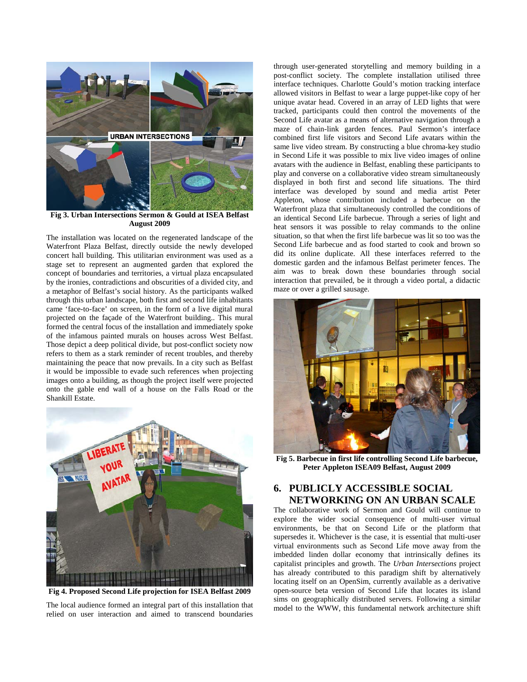

**Fig 3. Urban Intersections Sermon & Gould at ISEA Belfast August 2009**

The installation was located on the regenerated landscape of the Waterfront Plaza Belfast, directly outside the newly developed concert hall building. This utilitarian environment was used as a stage set to represent an augmented garden that explored the concept of boundaries and territories, a virtual plaza encapsulated by the ironies, contradictions and obscurities of a divided city, and a metaphor of Belfast's social history. As the participants walked through this urban landscape, both first and second life inhabitants came 'face-to-face' on screen, in the form of a live digital mural projected on the façade of the Waterfront building.. This mural formed the central focus of the installation and immediately spoke of the infamous painted murals on houses across West Belfast. Those depict a deep political divide, but post-conflict society now refers to them as a stark reminder of recent troubles, and thereby maintaining the peace that now prevails. In a city such as Belfast it would be impossible to evade such references when projecting images onto a building, as though the project itself were projected onto the gable end wall of a house on the Falls Road or the Shankill Estate.



**Fig 4. Proposed Second Life projection for ISEA Belfast 2009**

The local audience formed an integral part of this installation that relied on user interaction and aimed to transcend boundaries

through user-generated storytelling and memory building in a post-conflict society. The complete installation utilised three interface techniques. Charlotte Gould's motion tracking interface allowed visitors in Belfast to wear a large puppet-like copy of her unique avatar head. Covered in an array of LED lights that were tracked, participants could then control the movements of the Second Life avatar as a means of alternative navigation through a maze of chain-link garden fences. Paul Sermon's interface combined first life visitors and Second Life avatars within the same live video stream. By constructing a blue chroma-key studio in Second Life it was possible to mix live video images of online avatars with the audience in Belfast, enabling these participants to play and converse on a collaborative video stream simultaneously displayed in both first and second life situations. The third interface was developed by sound and media artist Peter Appleton, whose contribution included a barbecue on the Waterfront plaza that simultaneously controlled the conditions of an identical Second Life barbecue. Through a series of light and heat sensors it was possible to relay commands to the online situation, so that when the first life barbecue was lit so too was the Second Life barbecue and as food started to cook and brown so did its online duplicate. All these interfaces referred to the domestic garden and the infamous Belfast perimeter fences. The aim was to break down these boundaries through social interaction that prevailed, be it through a video portal, a didactic maze or over a grilled sausage.



**Fig 5. Barbecue in first life controlling Second Life barbecue, Peter Appleton ISEA09 Belfast, August 2009**

# **6. PUBLICLY ACCESSIBLE SOCIAL NETWORKING ON AN URBAN SCALE**

The collaborative work of Sermon and Gould will continue to explore the wider social consequence of multi-user virtual environments, be that on Second Life or the platform that supersedes it. Whichever is the case, it is essential that multi-user virtual environments such as Second Life move away from the imbedded linden dollar economy that intrinsically defines its capitalist principles and growth. The *Urban Intersections* project has already contributed to this paradigm shift by alternatively locating itself on an OpenSim, currently available as a derivative open-source beta version of Second Life that locates its island sims on geographically distributed servers. Following a similar model to the WWW, this fundamental network architecture shift